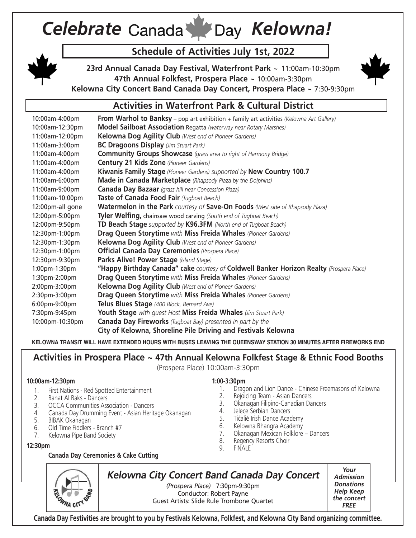# *Celebrate Canada M Day Kelowna!*

#### **Schedule of Activities July 1st, 2022**

**23rd Annual Canada Day Festival, Waterfront Park** ~ 11:00am-10:30pm **47th Annual Folkfest, Prospera Place** ~ 10:00am-3:30pm



**Kelowna City Concert Band Canada Day Concert, Prospera Place** ~ 7:30-9:30pm

#### **Activities in Waterfront Park & Cultural District**

10:00am-4:00pm **From Warhol to Banksy** – pop art exhibition + family art activities *(Kelowna Art Gallery)* 10:00am-12:30pm **Model Sailboat Association** Regatta *(waterway near Rotary Marshes)* 11:00am-12:00pm **Kelowna Dog Agility Club** *(West end of Pioneer Gardens)* 11:00am-3:00pm **BC Dragoons Display** *(Jim Stuart Park)* 11:00am-4:00pm **Community Groups Showcase** *(grass area to right of Harmony Bridge)*  11:00am-4:00pm **Century 21 Kids Zone** *(Pioneer Gardens)* 11:00am-4:00pm **Kiwanis Family Stage** *(Pioneer Gardens) supported by* **New Country 100.7**  11:00am-6:00pm **Made in Canada Marketplace** *(Rhapsody Plaza by the Dolphins)* 11:00am-9:00pm **Canada Day Bazaar** *(grass hill near Concession Plaza)* 11:00am-10:00pm **Taste of Canada Food Fair** *(Tugboat Beach)* 12:00pm-all gone **Watermelon in the Park** *courtesy of* **Save-On Foods** *(West side of Rhapsody Plaza)* 12:00pm-5:00pm **Tyler Welfing,** chainsaw wood carving *(South end of Tugboat Beach)* 12:00pm-9:50pm **TD Beach Stage** *supported by* **K96.3FM** *(North end of Tugboat Beach)* 12:30pm-1:00pm **Drag Queen Storytime** *with* **Miss Freida Whales** *(Pioneer Gardens)* 12:30pm-1:30pm **Kelowna Dog Agility Club** *(West end of Pioneer Gardens)* 12:30pm-1:00pm **Official Canada Day Ceremonies** *(Prospera Place)* 12:30pm-9:30pm **Parks Alive! Power Stage** *(Island Stage)* 1:00pm-1:30pm **"Happy Birthday Canada" cake** *courtesy of* **Coldwell Banker Horizon Realty** *(Prospera Place)* 1:30pm-2:00pm **Drag Queen Storytime** *with* **Miss Freida Whales** *(Pioneer Gardens)* 2:00pm-3:00pm **Kelowna Dog Agility Club** *(West end of Pioneer Gardens)* 2:30pm-3:00pm **Drag Queen Storytime** *with* **Miss Freida Whales** *(Pioneer Gardens)* 6:00pm-9:00pm **Telus Blues Stage** *(400 Block, Bernard Ave)* 7:30pm-9:45pm **Youth Stage** *with guest Host* **Miss Freida Whales** *(Jim Stuart Park)* 10:00pm-10:30pm **Canada Day Fireworks** *(Tugboat Bay) presented in part by the* **City of Kelowna, Shoreline Pile Driving and Festivals Kelowna**

**KELOWNA TRANSIT WILL HAVE EXTENDED HOURS WITH BUSES LEAVING THE QUEENSWAY STATION 30 MINUTES AFTER FIREWORKS END**

#### **Activities in Prospera Place ~ 47th Annual Kelowna Folkfest Stage & Ethnic Food Booths**

(Prospera Place) 10:00am-3:30pm

#### **1:00-3:30pm**

- 1. Dragon and Lion Dance Chinese Freemasons of Kelowna
- 2. Rejoicing Team Asian Dancers
- 3. Okanagan Filipino-Canadian Dancers
- 4. Jelece Serbian Dancers
- 5. Tićalié Irish Dance Academy
- 6. Kelowna Bhangra Academy
- 7. Okanagan Mexican Folklore Dancers
- 8. Regency Resorts Choir
- 9. FINALE

#### **12:30pm**

**10:00am-12:30pm**

#### **Canada Day Ceremonies & Cake Cutting**

4. Canada Day Drumming Event - Asian Heritage Okanagan

1. First Nations - Red Spotted Entertainment

3. OCCA Communities Association - Dancers



2. Banat Al Raks - Dancers

6. Old Time Fiddlers - Branch #7 7. Kelowna Pipe Band Society

5. BIBAK Okanagan

## **Kelowna City Concert Band Canada Day Concert**

*(Prospera Place)* 7:30pm-9:30pm Conductor: Robert Payne Guest Artists: Slide Rule Trombone Quartet

**Your Admission Donations Help Keep the concert FREE**

**Canada Day Festivities are brought to you by Festivals Kelowna, Folkfest, and Kelowna City Band organizing committee.**